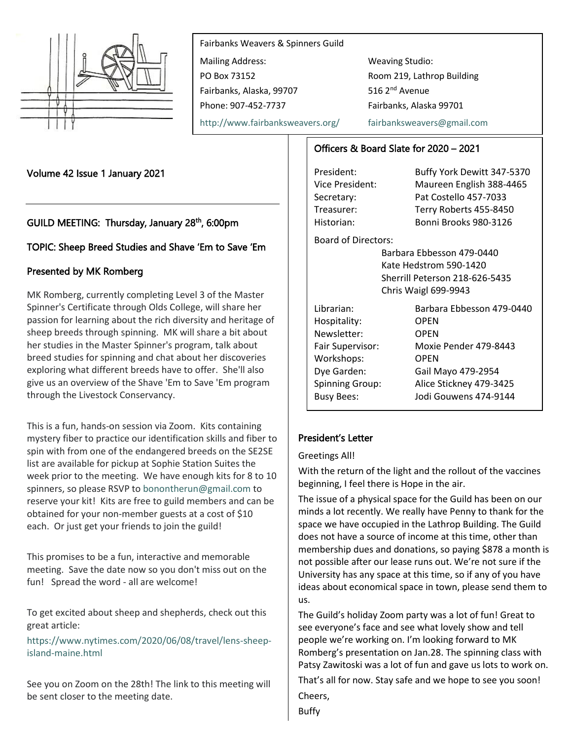

Fairbanks Weavers & Spinners Guild Mailing Address: Weaving Studio: PO Box 73152 Room 219, Lathrop Building Fairbanks, Alaska, 99707 516 2<sup>nd</sup> Avenue Phone: 907-452-7737 Fairbanks, Alaska 99701

<http://www.fairbanksweavers.org/> [fairbanksweavers@gmail.com](mailto:fairbanksweavers@gmail.com)

## Volume 42 Issue 1 January 2021

# GUILD MEETING: Thursday, January 28<sup>th</sup>, 6:00pm

## TOPIC: Sheep Breed Studies and Shave 'Em to Save 'Em

## Presented by MK Romberg

MK Romberg, currently completing Level 3 of the Master Spinner's Certificate through Olds College, will share her passion for learning about the rich diversity and heritage of sheep breeds through spinning. MK will share a bit about her studies in the Master Spinner's program, talk about breed studies for spinning and chat about her discoveries exploring what different breeds have to offer. She'll also give us an overview of the Shave 'Em to Save 'Em program through the Livestock Conservancy.

This is a fun, hands-on session via Zoom. Kits containing mystery fiber to practice our identification skills and fiber to spin with from one of the endangered breeds on the SE2SE list are available for pickup at Sophie Station Suites the week prior to the meeting. We have enough kits for 8 to 10 spinners, so please RSVP to [bonontherun@gmail.com](mailto:bonontherun@gmail.com) to reserve your kit! Kits are free to guild members and can be obtained for your non-member guests at a cost of \$10 each. Or just get your friends to join the guild!

This promises to be a fun, interactive and memorable meeting. Save the date now so you don't miss out on the fun! Spread the word - all are welcome!

To get excited about sheep and shepherds, check out this great article:

[https://www.nytimes.com/2020/06/08/travel/lens-sheep](https://www.nytimes.com/2020/06/08/travel/lens-sheep-island-maine.html)[island-maine.html](https://www.nytimes.com/2020/06/08/travel/lens-sheep-island-maine.html)

See you on Zoom on the 28th! The link to this meeting will be sent closer to the meeting date.

## Officers & Board Slate for 2020 – 2021

President: Buffy York Dewitt 347-5370 Vice President: Maureen English 388-4465 Secretary: Pat Costello 457-7033 Treasurer: Terry Roberts 455-8450 Historian: Bonni Brooks 980-3126

Board of Directors:

Barbara Ebbesson 479-0440 Kate Hedstrom 590-1420 Sherrill Peterson 218-626-5435 Chris Waigl 699-9943

| Librarian:             | Barbara Ebbesson 479-0440 |
|------------------------|---------------------------|
| Hospitality:           | <b>OPEN</b>               |
| Newsletter:            | <b>OPEN</b>               |
| Fair Supervisor:       | Moxie Pender 479-8443     |
| Workshops:             | <b>OPEN</b>               |
| Dye Garden:            | Gail Mayo 479-2954        |
| <b>Spinning Group:</b> | Alice Stickney 479-3425   |
| <b>Busy Bees:</b>      | Jodi Gouwens 474-9144     |

## President's Letter

### Greetings All!

With the return of the light and the rollout of the vaccines beginning, I feel there is Hope in the air.

The issue of a physical space for the Guild has been on our minds a lot recently. We really have Penny to thank for the space we have occupied in the Lathrop Building. The Guild does not have a source of income at this time, other than membership dues and donations, so paying \$878 a month is not possible after our lease runs out. We're not sure if the University has any space at this time, so if any of you have ideas about economical space in town, please send them to us.

The Guild's holiday Zoom party was a lot of fun! Great to see everyone's face and see what lovely show and tell people we're working on. I'm looking forward to MK Romberg's presentation on Jan.28. The spinning class with Patsy Zawitoski was a lot of fun and gave us lots to work on.

That's all for now. Stay safe and we hope to see you soon! Cheers,

Buffy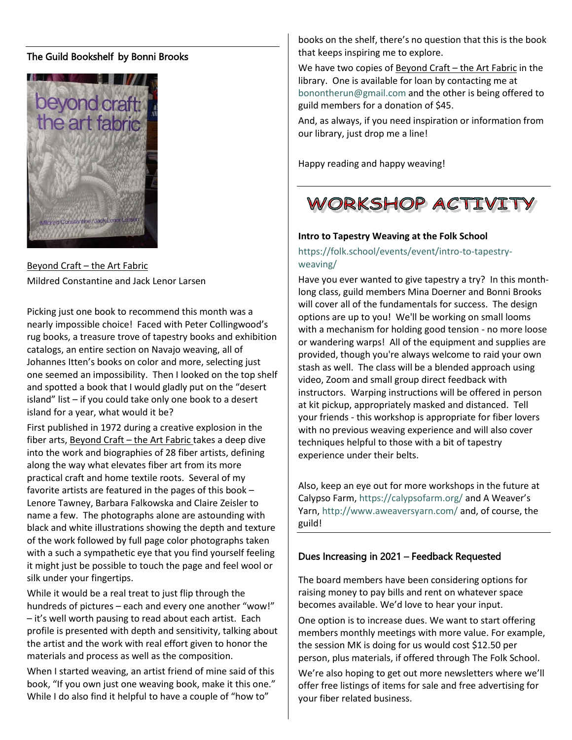## The Guild Bookshelf by Bonni Brooks



Beyond Craft – the Art Fabric Mildred Constantine and Jack Lenor Larsen

Picking just one book to recommend this month was a nearly impossible choice! Faced with Peter Collingwood's rug books, a treasure trove of tapestry books and exhibition catalogs, an entire section on Navajo weaving, all of Johannes Itten's books on color and more, selecting just one seemed an impossibility. Then I looked on the top shelf and spotted a book that I would gladly put on the "desert island" list – if you could take only one book to a desert island for a year, what would it be?

First published in 1972 during a creative explosion in the fiber arts, Beyond Craft - the Art Fabric takes a deep dive into the work and biographies of 28 fiber artists, defining along the way what elevates fiber art from its more practical craft and home textile roots. Several of my favorite artists are featured in the pages of this book – Lenore Tawney, Barbara Falkowska and Claire Zeisler to name a few. The photographs alone are astounding with black and white illustrations showing the depth and texture of the work followed by full page color photographs taken with a such a sympathetic eye that you find yourself feeling it might just be possible to touch the page and feel wool or silk under your fingertips.

While it would be a real treat to just flip through the hundreds of pictures – each and every one another "wow!" – it's well worth pausing to read about each artist. Each profile is presented with depth and sensitivity, talking about the artist and the work with real effort given to honor the materials and process as well as the composition.

When I started weaving, an artist friend of mine said of this book, "If you own just one weaving book, make it this one." While I do also find it helpful to have a couple of "how to"

books on the shelf, there's no question that this is the book that keeps inspiring me to explore.

We have two copies of Beyond Craft – the Art Fabric in the library. One is available for loan by contacting me at [bonontherun@gmail.com](mailto:bonontherun@gmail.com) and the other is being offered to guild members for a donation of \$45.

And, as always, if you need inspiration or information from our library, just drop me a line!

Happy reading and happy weaving!



#### **Intro to Tapestry Weaving at the Folk School**

## [https://folk.school/events/event/intro-to-tapestry](https://folk.school/events/event/intro-to-tapestry-weaving/)[weaving/](https://folk.school/events/event/intro-to-tapestry-weaving/)

Have you ever wanted to give tapestry a try? In this monthlong class, guild members Mina Doerner and Bonni Brooks will cover all of the fundamentals for success. The design options are up to you! We'll be working on small looms with a mechanism for holding good tension - no more loose or wandering warps! All of the equipment and supplies are provided, though you're always welcome to raid your own stash as well. The class will be a blended approach using video, Zoom and small group direct feedback with instructors. Warping instructions will be offered in person at kit pickup, appropriately masked and distanced. Tell your friends - this workshop is appropriate for fiber lovers with no previous weaving experience and will also cover techniques helpful to those with a bit of tapestry experience under their belts.

Also, keep an eye out for more workshops in the future at Calypso Farm[, https://calypsofarm.org/](https://calypsofarm.org/) and A Weaver's Yarn,<http://www.aweaversyarn.com/> and, of course, the guild!

### Dues Increasing in 2021 – Feedback Requested

The board members have been considering options for raising money to pay bills and rent on whatever space becomes available. We'd love to hear your input.

One option is to increase dues. We want to start offering members monthly meetings with more value. For example, the session MK is doing for us would cost \$12.50 per person, plus materials, if offered through The Folk School.

We're also hoping to get out more newsletters where we'll offer free listings of items for sale and free advertising for your fiber related business.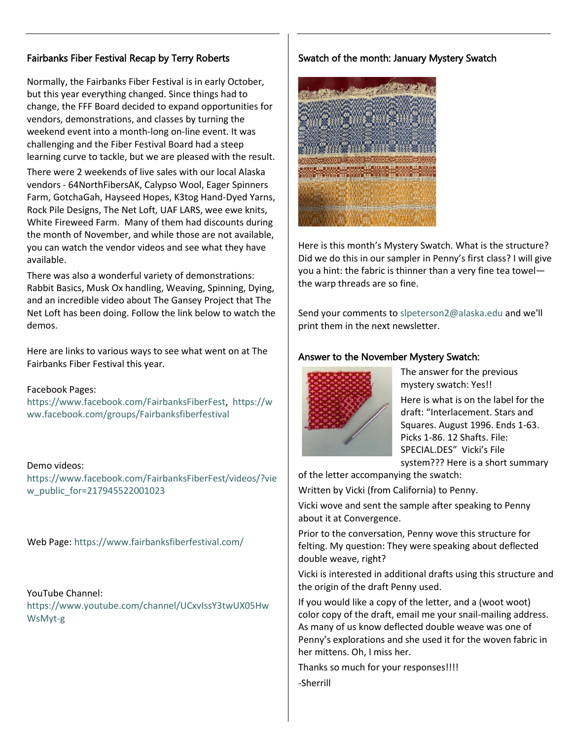# Fairbanks Fiber Festival Recap by Terry Roberts

Normally, the Fairbanks Fiber Festival is in early October, but this year everything changed. Since things had to change, the FFF Board decided to expand opportunities for vendors, demonstrations, and classes by turning the weekend event into a month-long on-line event. It was challenging and the Fiber Festival Board had a steep learning curve to tackle, but we are pleased with the result. There were 2 weekends of live sales with our local Alaska vendors - 64NorthFibersAK, Calypso Wool, Eager Spinners Farm, GotchaGah, Hayseed Hopes, K3tog Hand-Dyed Yarns, Rock Pile Designs, The Net Loft, UAF LARS, wee ewe knits, White Fireweed Farm. Many of them had discounts during the month of November, and while those are not available, you can watch the vendor videos and see what they have available.

There was also a wonderful variety of demonstrations: Rabbit Basics, Musk Ox handling, Weaving, Spinning, Dying, and an incredible video about The Gansey Project that The Net Loft has been doing. Follow the link below to watch the demos.

Here are links to various ways to see what went on at The Fairbanks Fiber Festival this year.

### Facebook Pages:

[https://www.facebook.com/FairbanksFiberFest,](https://www.facebook.com/FairbanksFiberFest) [https://w](https://www.facebook.com/groups/Fairbanksfiberfestival) [ww.facebook.com/groups/Fairbanksfiberfestival](https://www.facebook.com/groups/Fairbanksfiberfestival)

Demo videos: [https://www.facebook.com/FairbanksFiberFest/videos/?vie](https://www.facebook.com/FairbanksFiberFest/videos/?view_public_for=217945522001023) [w\\_public\\_for=217945522001023](https://www.facebook.com/FairbanksFiberFest/videos/?view_public_for=217945522001023)

Web Page:<https://www.fairbanksfiberfestival.com/>

### YouTube Channel:

[https://www.youtube.com/channel/UCxvIssY3twUX05Hw](https://www.youtube.com/channel/UCxvIssY3twUX05HwWsMyt-g) [WsMyt-g](https://www.youtube.com/channel/UCxvIssY3twUX05HwWsMyt-g)

## Swatch of the month: January Mystery Swatch



Here is this month's Mystery Swatch. What is the structure? Did we do this in our sampler in Penny's first class? I will give you a hint: the fabric is thinner than a very fine tea towel the warp threads are so fine.

Send your comments t[o slpeterson2@alaska.edu](mailto:slpeterson2@alaska.edu) and we'll print them in the next newsletter.

## Answer to the November Mystery Swatch:



The answer for the previous mystery swatch: Yes!!

Here is what is on the label for the draft: "Interlacement. Stars and Squares. August 1996. Ends 1-63. Picks 1-86. 12 Shafts. File: SPECIAL.DES" Vicki's File system??? Here is a short summary

of the letter accompanying the swatch:

Written by Vicki (from California) to Penny.

Vicki wove and sent the sample after speaking to Penny about it at Convergence.

Prior to the conversation, Penny wove this structure for felting. My question: They were speaking about deflected double weave, right?

Vicki is interested in additional drafts using this structure and the origin of the draft Penny used.

If you would like a copy of the letter, and a (woot woot) color copy of the draft, email me your snail-mailing address. As many of us know deflected double weave was one of Penny's explorations and she used it for the woven fabric in her mittens. Oh, I miss her.

Thanks so much for your responses!!!! -Sherrill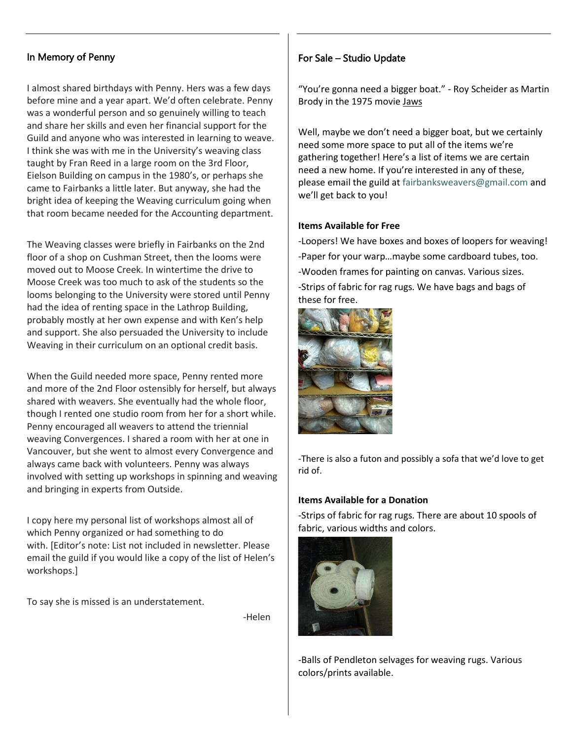## In Memory of Penny

I almost shared birthdays with Penny. Hers was a few days before mine and a year apart. We'd often celebrate. Penny was a wonderful person and so genuinely willing to teach and share her skills and even her financial support for the Guild and anyone who was interested in learning to weave. I think she was with me in the University's weaving class taught by Fran Reed in a large room on the 3rd Floor, Eielson Building on campus in the 1980's, or perhaps she came to Fairbanks a little later. But anyway, she had the bright idea of keeping the Weaving curriculum going when that room became needed for the Accounting department.

The Weaving classes were briefly in Fairbanks on the 2nd floor of a shop on Cushman Street, then the looms were moved out to Moose Creek. In wintertime the drive to Moose Creek was too much to ask of the students so the looms belonging to the University were stored until Penny had the idea of renting space in the Lathrop Building, probably mostly at her own expense and with Ken's help and support. She also persuaded the University to include Weaving in their curriculum on an optional credit basis.

When the Guild needed more space, Penny rented more and more of the 2nd Floor ostensibly for herself, but always shared with weavers. She eventually had the whole floor, though I rented one studio room from her for a short while. Penny encouraged all weavers to attend the triennial weaving Convergences. I shared a room with her at one in Vancouver, but she went to almost every Convergence and always came back with volunteers. Penny was always involved with setting up workshops in spinning and weaving and bringing in experts from Outside.

I copy here my personal list of workshops almost all of which Penny organized or had something to do with. [Editor's note: List not included in newsletter. Please email the guild if you would like a copy of the list of Helen's workshops.]

To say she is missed is an understatement.

en de la contrata de la contrata de la contrata de la contrata de la contrata de la contrata de la contrata de

## For Sale – Studio Update

"You're gonna need a bigger boat." - Roy Scheider as Martin Brody in the 1975 movie Jaws

Well, maybe we don't need a bigger boat, but we certainly need some more space to put all of the items we're gathering together! Here's a list of items we are certain need a new home. If you're interested in any of these, please email the guild at [fairbanksweavers@gmail.com](mailto:fairbanksweavers@gmail.com) and we'll get back to you!

### **Items Available for Free**

-Loopers! We have boxes and boxes of loopers for weaving! -Paper for your warp…maybe some cardboard tubes, too. -Wooden frames for painting on canvas. Various sizes. -Strips of fabric for rag rugs. We have bags and bags of these for free.



-There is also a futon and possibly a sofa that we'd love to get rid of.

### **Items Available for a Donation**

-Strips of fabric for rag rugs. There are about 10 spools of fabric, various widths and colors.



-Balls of Pendleton selvages for weaving rugs. Various colors/prints available.